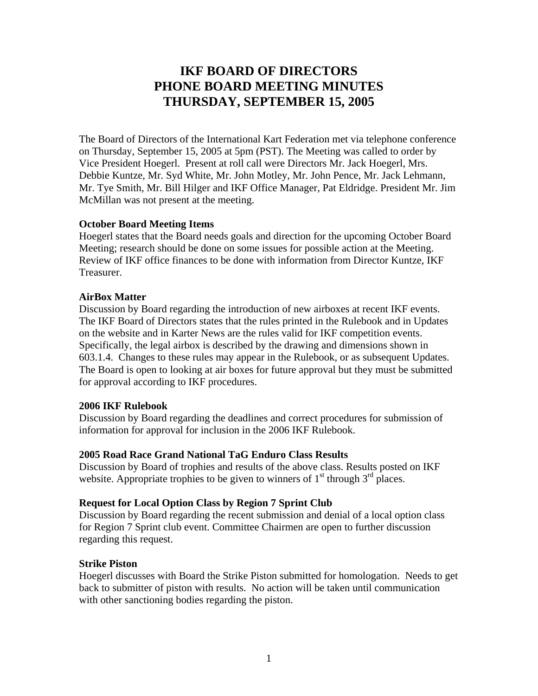# **IKF BOARD OF DIRECTORS PHONE BOARD MEETING MINUTES THURSDAY, SEPTEMBER 15, 2005**

The Board of Directors of the International Kart Federation met via telephone conference on Thursday, September 15, 2005 at 5pm (PST). The Meeting was called to order by Vice President Hoegerl. Present at roll call were Directors Mr. Jack Hoegerl, Mrs. Debbie Kuntze, Mr. Syd White, Mr. John Motley, Mr. John Pence, Mr. Jack Lehmann, Mr. Tye Smith, Mr. Bill Hilger and IKF Office Manager, Pat Eldridge. President Mr. Jim McMillan was not present at the meeting.

## **October Board Meeting Items**

Hoegerl states that the Board needs goals and direction for the upcoming October Board Meeting; research should be done on some issues for possible action at the Meeting. Review of IKF office finances to be done with information from Director Kuntze, IKF Treasurer.

### **AirBox Matter**

Discussion by Board regarding the introduction of new airboxes at recent IKF events. The IKF Board of Directors states that the rules printed in the Rulebook and in Updates on the website and in Karter News are the rules valid for IKF competition events. Specifically, the legal airbox is described by the drawing and dimensions shown in 603.1.4. Changes to these rules may appear in the Rulebook, or as subsequent Updates. The Board is open to looking at air boxes for future approval but they must be submitted for approval according to IKF procedures.

## **2006 IKF Rulebook**

Discussion by Board regarding the deadlines and correct procedures for submission of information for approval for inclusion in the 2006 IKF Rulebook.

## **2005 Road Race Grand National TaG Enduro Class Results**

Discussion by Board of trophies and results of the above class. Results posted on IKF website. Appropriate trophies to be given to winners of  $1<sup>st</sup>$  through  $3<sup>rd</sup>$  places.

#### **Request for Local Option Class by Region 7 Sprint Club**

Discussion by Board regarding the recent submission and denial of a local option class for Region 7 Sprint club event. Committee Chairmen are open to further discussion regarding this request.

#### **Strike Piston**

Hoegerl discusses with Board the Strike Piston submitted for homologation. Needs to get back to submitter of piston with results. No action will be taken until communication with other sanctioning bodies regarding the piston.